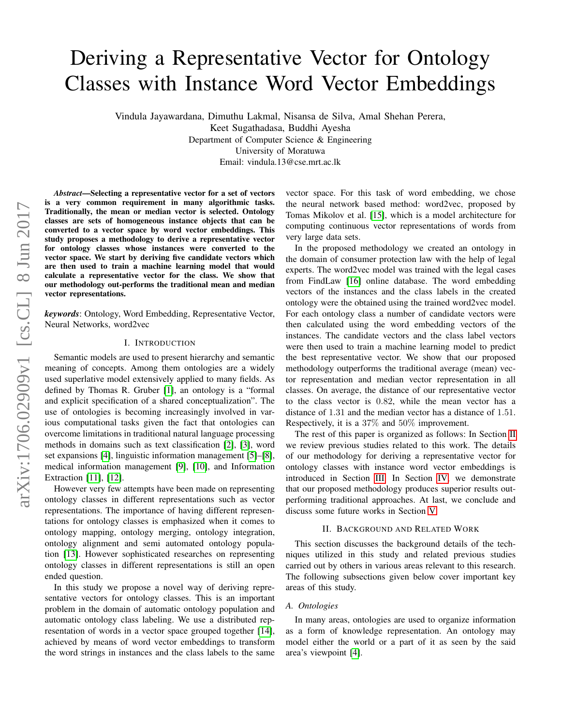# Deriving a Representative Vector for Ontology Classes with Instance Word Vector Embeddings

Vindula Jayawardana, Dimuthu Lakmal, Nisansa de Silva, Amal Shehan Perera,

Keet Sugathadasa, Buddhi Ayesha Department of Computer Science & Engineering University of Moratuwa

Email: vindula.13@cse.mrt.ac.lk

*Abstract*—Selecting a representative vector for a set of vectors is a very common requirement in many algorithmic tasks. Traditionally, the mean or median vector is selected. Ontology classes are sets of homogeneous instance objects that can be converted to a vector space by word vector embeddings. This study proposes a methodology to derive a representative vector for ontology classes whose instances were converted to the vector space. We start by deriving five candidate vectors which are then used to train a machine learning model that would calculate a representative vector for the class. We show that our methodology out-performs the traditional mean and median vector representations.

*keywords*: Ontology, Word Embedding, Representative Vector, Neural Networks, word2vec

## I. INTRODUCTION

Semantic models are used to present hierarchy and semantic meaning of concepts. Among them ontologies are a widely used superlative model extensively applied to many fields. As defined by Thomas R. Gruber [\[1\]](#page-5-0), an ontology is a "formal and explicit specification of a shared conceptualization". The use of ontologies is becoming increasingly involved in various computational tasks given the fact that ontologies can overcome limitations in traditional natural language processing methods in domains such as text classification [\[2\]](#page-5-1), [\[3\]](#page-5-2), word set expansions [\[4\]](#page-5-3), linguistic information management [\[5\]](#page-5-4)–[\[8\]](#page-5-5), medical information management [\[9\]](#page-5-6), [\[10\]](#page-5-7), and Information Extraction [\[11\]](#page-5-8), [\[12\]](#page-5-9).

However very few attempts have been made on representing ontology classes in different representations such as vector representations. The importance of having different representations for ontology classes is emphasized when it comes to ontology mapping, ontology merging, ontology integration, ontology alignment and semi automated ontology population [\[13\]](#page-5-10). However sophisticated researches on representing ontology classes in different representations is still an open ended question.

In this study we propose a novel way of deriving representative vectors for ontology classes. This is an important problem in the domain of automatic ontology population and automatic ontology class labeling. We use a distributed representation of words in a vector space grouped together [\[14\]](#page-5-11), achieved by means of word vector embeddings to transform the word strings in instances and the class labels to the same vector space. For this task of word embedding, we chose the neural network based method: word2vec, proposed by Tomas Mikolov et al. [\[15\]](#page-5-12), which is a model architecture for computing continuous vector representations of words from very large data sets.

In the proposed methodology we created an ontology in the domain of consumer protection law with the help of legal experts. The word2vec model was trained with the legal cases from FindLaw [\[16\]](#page-5-13) online database. The word embedding vectors of the instances and the class labels in the created ontology were the obtained using the trained word2vec model. For each ontology class a number of candidate vectors were then calculated using the word embedding vectors of the instances. The candidate vectors and the class label vectors were then used to train a machine learning model to predict the best representative vector. We show that our proposed methodology outperforms the traditional average (mean) vector representation and median vector representation in all classes. On average, the distance of our representative vector to the class vector is 0.82, while the mean vector has a distance of 1.31 and the median vector has a distance of 1.51. Respectively, it is a 37% and 50% improvement.

The rest of this paper is organized as follows: In Section [II](#page-0-0) we review previous studies related to this work. The details of our methodology for deriving a representative vector for ontology classes with instance word vector embeddings is introduced in Section [III.](#page-2-0) In Section [IV,](#page-4-0) we demonstrate that our proposed methodology produces superior results outperforming traditional approaches. At last, we conclude and discuss some future works in Section [V.](#page-5-14)

## II. BACKGROUND AND RELATED WORK

<span id="page-0-0"></span>This section discusses the background details of the techniques utilized in this study and related previous studies carried out by others in various areas relevant to this research. The following subsections given below cover important key areas of this study.

#### *A. Ontologies*

In many areas, ontologies are used to organize information as a form of knowledge representation. An ontology may model either the world or a part of it as seen by the said area's viewpoint [\[4\]](#page-5-3).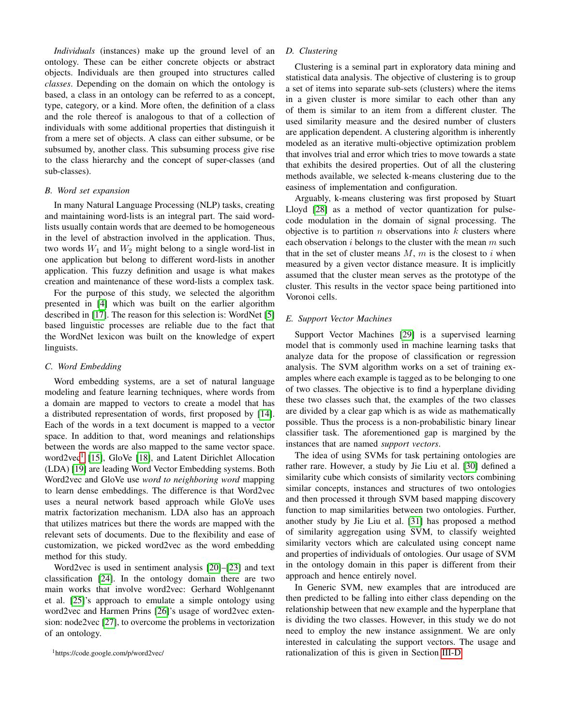*Individuals* (instances) make up the ground level of an ontology. These can be either concrete objects or abstract objects. Individuals are then grouped into structures called *classes*. Depending on the domain on which the ontology is based, a class in an ontology can be referred to as a concept, type, category, or a kind. More often, the definition of a class and the role thereof is analogous to that of a collection of individuals with some additional properties that distinguish it from a mere set of objects. A class can either subsume, or be subsumed by, another class. This subsuming process give rise to the class hierarchy and the concept of super-classes (and sub-classes).

## *B. Word set expansion*

In many Natural Language Processing (NLP) tasks, creating and maintaining word-lists is an integral part. The said wordlists usually contain words that are deemed to be homogeneous in the level of abstraction involved in the application. Thus, two words  $W_1$  and  $W_2$  might belong to a single word-list in one application but belong to different word-lists in another application. This fuzzy definition and usage is what makes creation and maintenance of these word-lists a complex task.

For the purpose of this study, we selected the algorithm presented in [\[4\]](#page-5-3) which was built on the earlier algorithm described in [\[17\]](#page-5-15). The reason for this selection is: WordNet [\[5\]](#page-5-4) based linguistic processes are reliable due to the fact that the WordNet lexicon was built on the knowledge of expert linguists.

## *C. Word Embedding*

Word embedding systems, are a set of natural language modeling and feature learning techniques, where words from a domain are mapped to vectors to create a model that has a distributed representation of words, first proposed by [\[14\]](#page-5-11). Each of the words in a text document is mapped to a vector space. In addition to that, word meanings and relationships between the words are also mapped to the same vector space. word2vec<sup>[1](#page-1-0)</sup> [\[15\]](#page-5-12), GloVe [\[18\]](#page-5-16), and Latent Dirichlet Allocation (LDA) [\[19\]](#page-5-17) are leading Word Vector Embedding systems. Both Word2vec and GloVe use *word to neighboring word* mapping to learn dense embeddings. The difference is that Word2vec uses a neural network based approach while GloVe uses matrix factorization mechanism. LDA also has an approach that utilizes matrices but there the words are mapped with the relevant sets of documents. Due to the flexibility and ease of customization, we picked word2vec as the word embedding method for this study.

Word2vec is used in sentiment analysis [\[20\]](#page-5-18)–[\[23\]](#page-5-19) and text classification [\[24\]](#page-5-20). In the ontology domain there are two main works that involve word2vec: Gerhard Wohlgenannt et al. [\[25\]](#page-5-21)'s approach to emulate a simple ontology using word2vec and Harmen Prins [\[26\]](#page-5-22)'s usage of word2vec extension: node2vec [\[27\]](#page-5-23), to overcome the problems in vectorization of an ontology.

<span id="page-1-0"></span><sup>1</sup>https://code.google.com/p/word2vec/

### *D. Clustering*

Clustering is a seminal part in exploratory data mining and statistical data analysis. The objective of clustering is to group a set of items into separate sub-sets (clusters) where the items in a given cluster is more similar to each other than any of them is similar to an item from a different cluster. The used similarity measure and the desired number of clusters are application dependent. A clustering algorithm is inherently modeled as an iterative multi-objective optimization problem that involves trial and error which tries to move towards a state that exhibits the desired properties. Out of all the clustering methods available, we selected k-means clustering due to the easiness of implementation and configuration.

Arguably, k-means clustering was first proposed by Stuart Lloyd [\[28\]](#page-5-24) as a method of vector quantization for pulsecode modulation in the domain of signal processing. The objective is to partition  $n$  observations into  $k$  clusters where each observation  $i$  belongs to the cluster with the mean  $m$  such that in the set of cluster means  $M$ ,  $m$  is the closest to i when measured by a given vector distance measure. It is implicitly assumed that the cluster mean serves as the prototype of the cluster. This results in the vector space being partitioned into Voronoi cells.

## *E. Support Vector Machines*

Support Vector Machines [\[29\]](#page-5-25) is a supervised learning model that is commonly used in machine learning tasks that analyze data for the propose of classification or regression analysis. The SVM algorithm works on a set of training examples where each example is tagged as to be belonging to one of two classes. The objective is to find a hyperplane dividing these two classes such that, the examples of the two classes are divided by a clear gap which is as wide as mathematically possible. Thus the process is a non-probabilistic binary linear classifier task. The aforementioned gap is margined by the instances that are named *support vectors*.

The idea of using SVMs for task pertaining ontologies are rather rare. However, a study by Jie Liu et al. [\[30\]](#page-5-26) defined a similarity cube which consists of similarity vectors combining similar concepts, instances and structures of two ontologies and then processed it through SVM based mapping discovery function to map similarities between two ontologies. Further, another study by Jie Liu et al. [\[31\]](#page-5-27) has proposed a method of similarity aggregation using SVM, to classify weighted similarity vectors which are calculated using concept name and properties of individuals of ontologies. Our usage of SVM in the ontology domain in this paper is different from their approach and hence entirely novel.

In Generic SVM, new examples that are introduced are then predicted to be falling into either class depending on the relationship between that new example and the hyperplane that is dividing the two classes. However, in this study we do not need to employ the new instance assignment. We are only interested in calculating the support vectors. The usage and rationalization of this is given in Section [III-D](#page-2-1)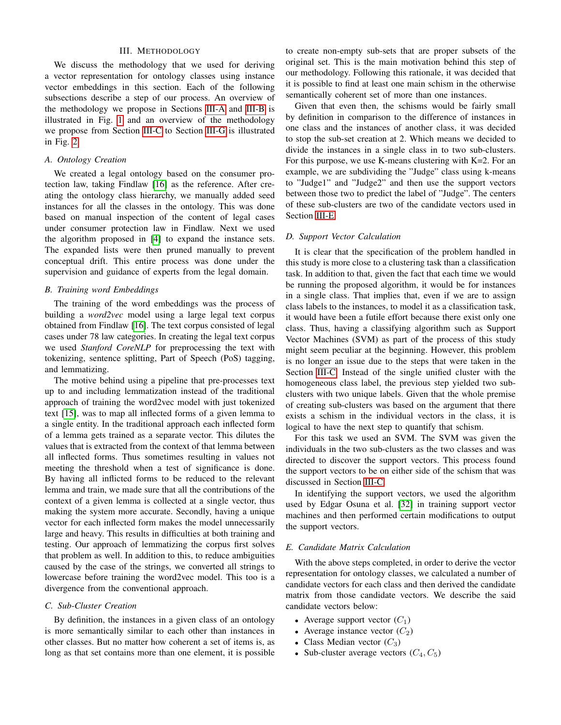## III. METHODOLOGY

<span id="page-2-0"></span>We discuss the methodology that we used for deriving a vector representation for ontology classes using instance vector embeddings in this section. Each of the following subsections describe a step of our process. An overview of the methodology we propose in Sections [III-A](#page-2-2) and [III-B](#page-2-3) is illustrated in Fig. [1](#page-3-0) and an overview of the methodology we propose from Section [III-C](#page-2-4) to Section [III-G](#page-4-1) is illustrated in Fig. [2.](#page-4-2)

## <span id="page-2-2"></span>*A. Ontology Creation*

We created a legal ontology based on the consumer protection law, taking Findlaw [\[16\]](#page-5-13) as the reference. After creating the ontology class hierarchy, we manually added seed instances for all the classes in the ontology. This was done based on manual inspection of the content of legal cases under consumer protection law in Findlaw. Next we used the algorithm proposed in [\[4\]](#page-5-3) to expand the instance sets. The expanded lists were then pruned manually to prevent conceptual drift. This entire process was done under the supervision and guidance of experts from the legal domain.

#### <span id="page-2-3"></span>*B. Training word Embeddings*

The training of the word embeddings was the process of building a *word2vec* model using a large legal text corpus obtained from Findlaw [\[16\]](#page-5-13). The text corpus consisted of legal cases under 78 law categories. In creating the legal text corpus we used *Stanford CoreNLP* for preprocessing the text with tokenizing, sentence splitting, Part of Speech (PoS) tagging, and lemmatizing.

The motive behind using a pipeline that pre-processes text up to and including lemmatization instead of the traditional approach of training the word2vec model with just tokenized text [\[15\]](#page-5-12), was to map all inflected forms of a given lemma to a single entity. In the traditional approach each inflected form of a lemma gets trained as a separate vector. This dilutes the values that is extracted from the context of that lemma between all inflected forms. Thus sometimes resulting in values not meeting the threshold when a test of significance is done. By having all inflicted forms to be reduced to the relevant lemma and train, we made sure that all the contributions of the context of a given lemma is collected at a single vector, thus making the system more accurate. Secondly, having a unique vector for each inflected form makes the model unnecessarily large and heavy. This results in difficulties at both training and testing. Our approach of lemmatizing the corpus first solves that problem as well. In addition to this, to reduce ambiguities caused by the case of the strings, we converted all strings to lowercase before training the word2vec model. This too is a divergence from the conventional approach.

#### <span id="page-2-4"></span>*C. Sub-Cluster Creation*

By definition, the instances in a given class of an ontology is more semantically similar to each other than instances in other classes. But no matter how coherent a set of items is, as long as that set contains more than one element, it is possible to create non-empty sub-sets that are proper subsets of the original set. This is the main motivation behind this step of our methodology. Following this rationale, it was decided that it is possible to find at least one main schism in the otherwise semantically coherent set of more than one instances.

Given that even then, the schisms would be fairly small by definition in comparison to the difference of instances in one class and the instances of another class, it was decided to stop the sub-set creation at 2. Which means we decided to divide the instances in a single class in to two sub-clusters. For this purpose, we use K-means clustering with K=2. For an example, we are subdividing the "Judge" class using k-means to "Judge1" and "Judge2" and then use the support vectors between those two to predict the label of "Judge". The centers of these sub-clusters are two of the candidate vectors used in Section [III-E.](#page-2-5)

## <span id="page-2-1"></span>*D. Support Vector Calculation*

It is clear that the specification of the problem handled in this study is more close to a clustering task than a classification task. In addition to that, given the fact that each time we would be running the proposed algorithm, it would be for instances in a single class. That implies that, even if we are to assign class labels to the instances, to model it as a classification task, it would have been a futile effort because there exist only one class. Thus, having a classifying algorithm such as Support Vector Machines (SVM) as part of the process of this study might seem peculiar at the beginning. However, this problem is no longer an issue due to the steps that were taken in the Section [III-C.](#page-2-4) Instead of the single unified cluster with the homogeneous class label, the previous step yielded two subclusters with two unique labels. Given that the whole premise of creating sub-clusters was based on the argument that there exists a schism in the individual vectors in the class, it is logical to have the next step to quantify that schism.

For this task we used an SVM. The SVM was given the individuals in the two sub-clusters as the two classes and was directed to discover the support vectors. This process found the support vectors to be on either side of the schism that was discussed in Section [III-C.](#page-2-4)

In identifying the support vectors, we used the algorithm used by Edgar Osuna et al. [\[32\]](#page-5-28) in training support vector machines and then performed certain modifications to output the support vectors.

## <span id="page-2-5"></span>*E. Candidate Matrix Calculation*

With the above steps completed, in order to derive the vector representation for ontology classes, we calculated a number of candidate vectors for each class and then derived the candidate matrix from those candidate vectors. We describe the said candidate vectors below:

- Average support vector  $(C_1)$
- Average instance vector  $(C_2)$
- Class Median vector  $(C_3)$
- Sub-cluster average vectors  $(C_4, C_5)$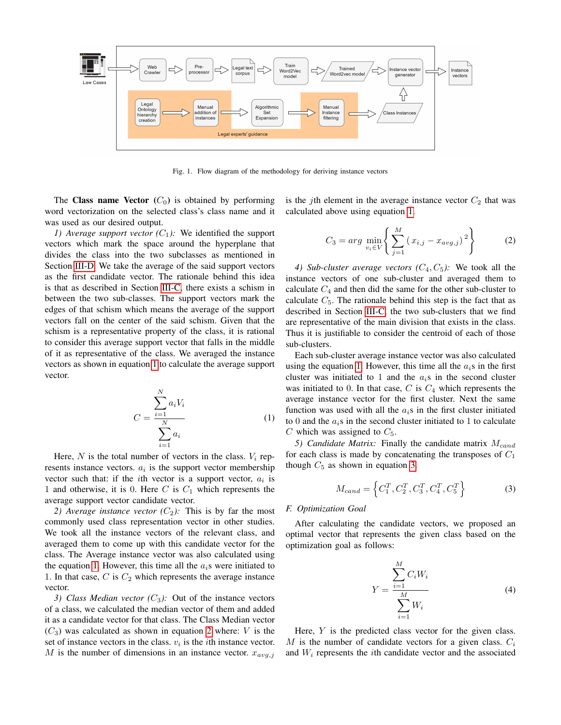

<span id="page-3-0"></span>Fig. 1. Flow diagram of the methodology for deriving instance vectors

The Class name Vector  $(C_0)$  is obtained by performing word vectorization on the selected class's class name and it was used as our desired output.

*1)* Average support vector  $(C_1)$ : We identified the support vectors which mark the space around the hyperplane that divides the class into the two subclasses as mentioned in Section [III-D.](#page-2-1) We take the average of the said support vectors as the first candidate vector. The rationale behind this idea is that as described in Section [III-C,](#page-2-4) there exists a schism in between the two sub-classes. The support vectors mark the edges of that schism which means the average of the support vectors fall on the center of the said schism. Given that the schism is a representative property of the class, it is rational to consider this average support vector that falls in the middle of it as representative of the class. We averaged the instance vectors as shown in equation [1](#page-3-1) to calculate the average support vector.

<span id="page-3-1"></span>
$$
C = \frac{\sum_{i=1}^{N} a_i V_i}{\sum_{i=1}^{N} a_i}
$$
 (1)

Here, N is the total number of vectors in the class.  $V_i$  represents instance vectors.  $a_i$  is the support vector membership vector such that: if the *i*th vector is a support vector,  $a_i$  is 1 and otherwise, it is 0. Here  $C$  is  $C_1$  which represents the average support vector candidate vector.

*2) Average instance vector*  $(C_2)$ : This is by far the most commonly used class representation vector in other studies. We took all the instance vectors of the relevant class, and averaged them to come up with this candidate vector for the class. The Average instance vector was also calculated using the equation [1.](#page-3-1) However, this time all the  $a_i$ s were initiated to 1. In that case,  $C$  is  $C_2$  which represents the average instance vector.

*3) Class Median vector*  $(C_3)$ : Out of the instance vectors of a class, we calculated the median vector of them and added it as a candidate vector for that class. The Class Median vector  $(C_3)$  was calculated as shown in equation [2](#page-3-2) where: V is the set of instance vectors in the class.  $v_i$  is the *i*th instance vector. M is the number of dimensions in an instance vector.  $x_{avg,i}$ 

is the jth element in the average instance vector  $C_2$  that was calculated above using equation [1.](#page-3-1)

<span id="page-3-2"></span>
$$
C_3 = arg \min_{v_i \in V} \left\{ \sum_{j=1}^{M} (x_{i,j} - x_{avg,j})^2 \right\}
$$
 (2)

4) Sub-cluster average vectors  $(C_4, C_5)$ : We took all the instance vectors of one sub-cluster and averaged them to calculate  $C_4$  and then did the same for the other sub-cluster to calculate  $C_5$ . The rationale behind this step is the fact that as described in Section [III-C,](#page-2-4) the two sub-clusters that we find are representative of the main division that exists in the class. Thus it is justifiable to consider the centroid of each of those sub-clusters.

Each sub-cluster average instance vector was also calculated using the equation [1.](#page-3-1) However, this time all the  $a_i$ s in the first cluster was initiated to 1 and the  $a_i$ s in the second cluster was initiated to 0. In that case,  $C$  is  $C_4$  which represents the average instance vector for the first cluster. Next the same function was used with all the  $a_i$ s in the first cluster initiated to 0 and the  $a_i$ s in the second cluster initiated to 1 to calculate C which was assigned to  $C_5$ .

*5) Candidate Matrix:* Finally the candidate matrix  $M_{cand}$ for each class is made by concatenating the transposes of  $C_1$ though  $C_5$  as shown in equation [3.](#page-3-3)

<span id="page-3-3"></span>
$$
M_{cand} = \left\{ C_1^T, C_2^T, C_3^T, C_4^T, C_5^T \right\}
$$
 (3)

## *F. Optimization Goal*

After calculating the candidate vectors, we proposed an optimal vector that represents the given class based on the optimization goal as follows:

$$
Y = \frac{\sum_{i=1}^{M} C_i W_i}{\sum_{i=1}^{M} W_i}
$$
 (4)

Here,  $Y$  is the predicted class vector for the given class. M is the number of candidate vectors for a given class.  $C_i$ and  $W_i$  represents the *i*th candidate vector and the associated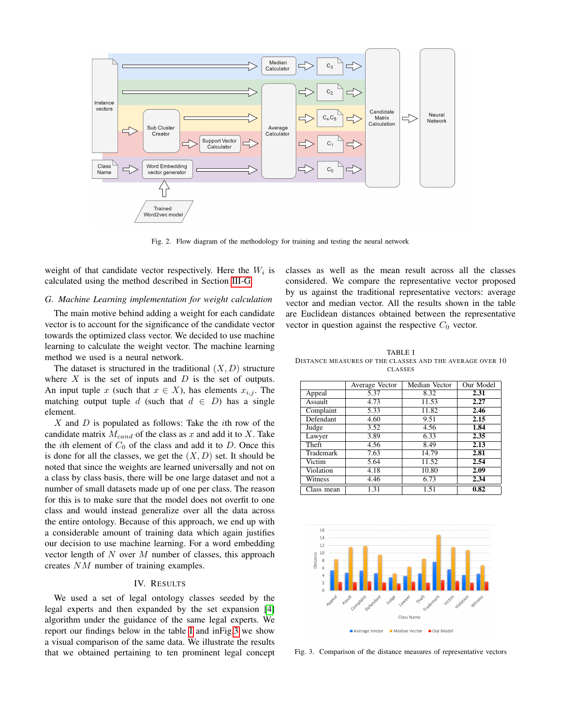

<span id="page-4-2"></span>Fig. 2. Flow diagram of the methodology for training and testing the neural network

weight of that candidate vector respectively. Here the  $W_i$  is calculated using the method described in Section [III-G.](#page-4-1)

#### <span id="page-4-1"></span>*G. Machine Learning implementation for weight calculation*

The main motive behind adding a weight for each candidate vector is to account for the significance of the candidate vector towards the optimized class vector. We decided to use machine learning to calculate the weight vector. The machine learning method we used is a neural network.

The dataset is structured in the traditional  $(X, D)$  structure where  $X$  is the set of inputs and  $D$  is the set of outputs. An input tuple x (such that  $x \in X$ ), has elements  $x_{i,j}$ . The matching output tuple d (such that  $d \in D$ ) has a single element.

 $X$  and  $D$  is populated as follows: Take the *i*th row of the candidate matrix  $M_{cand}$  of the class as x and add it to X. Take the *i*th element of  $C_0$  of the class and add it to D. Once this is done for all the classes, we get the  $(X, D)$  set. It should be noted that since the weights are learned universally and not on a class by class basis, there will be one large dataset and not a number of small datasets made up of one per class. The reason for this is to make sure that the model does not overfit to one class and would instead generalize over all the data across the entire ontology. Because of this approach, we end up with a considerable amount of training data which again justifies our decision to use machine learning. For a word embedding vector length of  $N$  over  $M$  number of classes, this approach creates NM number of training examples.

## IV. RESULTS

<span id="page-4-0"></span>We used a set of legal ontology classes seeded by the legal experts and then expanded by the set expansion [\[4\]](#page-5-3) algorithm under the guidance of the same legal experts. We report our findings below in the table [I](#page-4-3) and inFig[.3](#page-4-4) we show a visual comparison of the same data. We illustrate the results that we obtained pertaining to ten prominent legal concept classes as well as the mean result across all the classes considered. We compare the representative vector proposed by us against the traditional representative vectors: average vector and median vector. All the results shown in the table are Euclidean distances obtained between the representative vector in question against the respective  $C_0$  vector.

<span id="page-4-3"></span>TABLE I DISTANCE MEASURES OF THE CLASSES AND THE AVERAGE OVER 10 CLASSES

|                  | Average Vector | Median Vector | Our Model         |
|------------------|----------------|---------------|-------------------|
| Appeal           | 5.37           | 8.32          | 2.31              |
| Assault          | 4.73           | 11.53         | 2.27              |
| Complaint        | 5.33           | 11.82         | 2.46              |
| <b>Defendant</b> | 4.60           | 9.51          | 2.15              |
| Judge            | 3.52           | 4.56          | $1.\overline{84}$ |
| Lawyer           | 3.89           | 6.33          | 2.35              |
| Theft            | 4.56           | 8.49          | 2.13              |
| Trademark        | 7.63           | 14.79         | 2.81              |
| Victim           | 5.64           | 11.52         | 2.54              |
| Violation        | 4.18           | 10.80         | 2.09              |
| Witness          | 4.46           | 6.73          | 2.34              |
| Class mean       | 1.31           | 1.51          | 0.82              |



<span id="page-4-4"></span>Fig. 3. Comparison of the distance measures of representative vectors